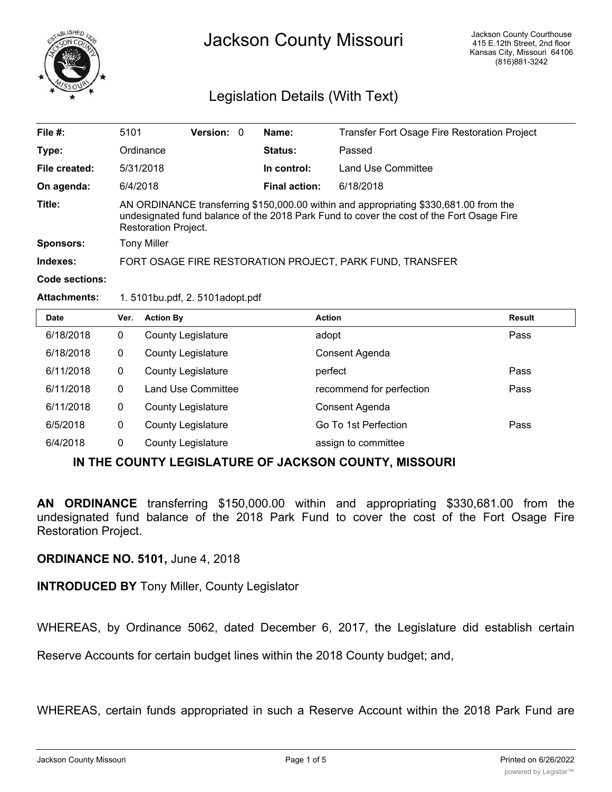

## Jackson County Missouri

## Legislation Details (With Text)

| File #:               | 5101                                                                                                                                                                                                      | <b>Version:</b> | $\Omega$ | Name:                | Transfer Fort Osage Fire Restoration Project |
|-----------------------|-----------------------------------------------------------------------------------------------------------------------------------------------------------------------------------------------------------|-----------------|----------|----------------------|----------------------------------------------|
| Type:                 | Ordinance                                                                                                                                                                                                 |                 |          | Status:              | Passed                                       |
| File created:         | 5/31/2018                                                                                                                                                                                                 |                 |          | In control:          | <b>Land Use Committee</b>                    |
| On agenda:            | 6/4/2018                                                                                                                                                                                                  |                 |          | <b>Final action:</b> | 6/18/2018                                    |
| Title:                | AN ORDINANCE transferring \$150,000.00 within and appropriating \$330,681.00 from the<br>undesignated fund balance of the 2018 Park Fund to cover the cost of the Fort Osage Fire<br>Restoration Project. |                 |          |                      |                                              |
| <b>Sponsors:</b>      | <b>Tony Miller</b>                                                                                                                                                                                        |                 |          |                      |                                              |
| Indexes:              | FORT OSAGE FIRE RESTORATION PROJECT, PARK FUND, TRANSFER                                                                                                                                                  |                 |          |                      |                                              |
| <b>Code sections:</b> |                                                                                                                                                                                                           |                 |          |                      |                                              |

## **Attachments:** 1. 5101bu.pdf, 2. 5101adopt.pdf

| <b>Date</b> | Ver.         | <b>Action By</b>          | <b>Action</b>            | <b>Result</b> |
|-------------|--------------|---------------------------|--------------------------|---------------|
| 6/18/2018   | 0            | <b>County Legislature</b> | adopt                    | Pass          |
| 6/18/2018   | 0            | <b>County Legislature</b> | Consent Agenda           |               |
| 6/11/2018   | $\mathbf{0}$ | <b>County Legislature</b> | perfect                  | Pass          |
| 6/11/2018   | 0            | <b>Land Use Committee</b> | recommend for perfection | Pass          |
| 6/11/2018   | $\mathbf{0}$ | <b>County Legislature</b> | Consent Agenda           |               |
| 6/5/2018    | 0            | <b>County Legislature</b> | Go To 1st Perfection     | Pass          |
| 6/4/2018    | 0            | <b>County Legislature</b> | assign to committee      |               |

## **IN THE COUNTY LEGISLATURE OF JACKSON COUNTY, MISSOURI**

**AN ORDINANCE** transferring \$150,000.00 within and appropriating \$330,681.00 from the undesignated fund balance of the 2018 Park Fund to cover the cost of the Fort Osage Fire Restoration Project.

**ORDINANCE NO. 5101,** June 4, 2018

**INTRODUCED BY** Tony Miller, County Legislator

WHEREAS, by Ordinance 5062, dated December 6, 2017, the Legislature did establish certain

Reserve Accounts for certain budget lines within the 2018 County budget; and,

WHEREAS, certain funds appropriated in such a Reserve Account within the 2018 Park Fund are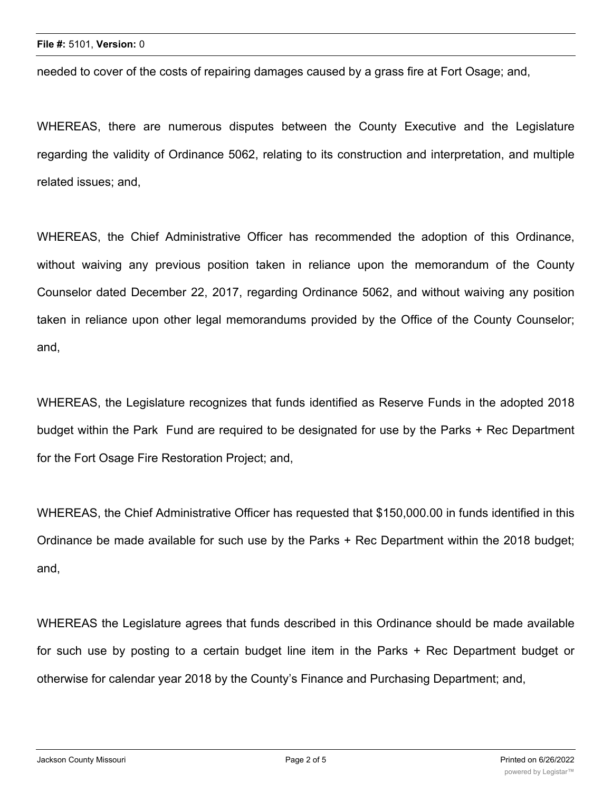needed to cover of the costs of repairing damages caused by a grass fire at Fort Osage; and,

WHEREAS, there are numerous disputes between the County Executive and the Legislature regarding the validity of Ordinance 5062, relating to its construction and interpretation, and multiple related issues; and,

WHEREAS, the Chief Administrative Officer has recommended the adoption of this Ordinance, without waiving any previous position taken in reliance upon the memorandum of the County Counselor dated December 22, 2017, regarding Ordinance 5062, and without waiving any position taken in reliance upon other legal memorandums provided by the Office of the County Counselor; and,

WHEREAS, the Legislature recognizes that funds identified as Reserve Funds in the adopted 2018 budget within the Park Fund are required to be designated for use by the Parks + Rec Department for the Fort Osage Fire Restoration Project; and,

WHEREAS, the Chief Administrative Officer has requested that \$150,000.00 in funds identified in this Ordinance be made available for such use by the Parks + Rec Department within the 2018 budget; and,

WHEREAS the Legislature agrees that funds described in this Ordinance should be made available for such use by posting to a certain budget line item in the Parks + Rec Department budget or otherwise for calendar year 2018 by the County's Finance and Purchasing Department; and,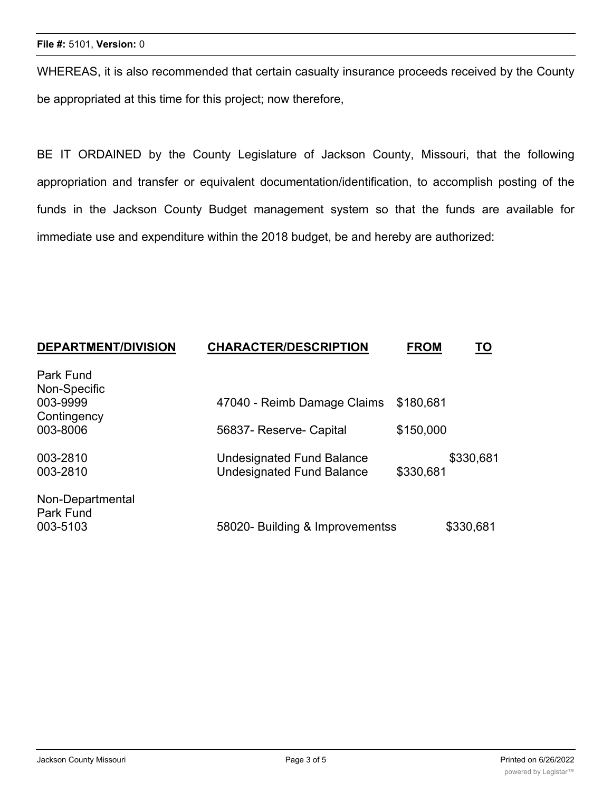WHEREAS, it is also recommended that certain casualty insurance proceeds received by the County be appropriated at this time for this project; now therefore,

BE IT ORDAINED by the County Legislature of Jackson County, Missouri, that the following appropriation and transfer or equivalent documentation/identification, to accomplish posting of the funds in the Jackson County Budget management system so that the funds are available for immediate use and expenditure within the 2018 budget, be and hereby are authorized:

| <b>DEPARTMENT/DIVISION</b>    | <b>CHARACTER/DESCRIPTION</b>                                         | <b>FROM</b> | <u>TO</u> |
|-------------------------------|----------------------------------------------------------------------|-------------|-----------|
| Park Fund                     |                                                                      |             |           |
| Non-Specific<br>003-9999      | 47040 - Reimb Damage Claims                                          | \$180,681   |           |
| Contingency<br>003-8006       | 56837- Reserve- Capital                                              | \$150,000   |           |
| 003-2810<br>003-2810          | <b>Undesignated Fund Balance</b><br><b>Undesignated Fund Balance</b> | \$330,681   | \$330,681 |
| Non-Departmental<br>Park Fund |                                                                      |             |           |
| 003-5103                      | 58020- Building & Improvementss                                      |             | \$330,681 |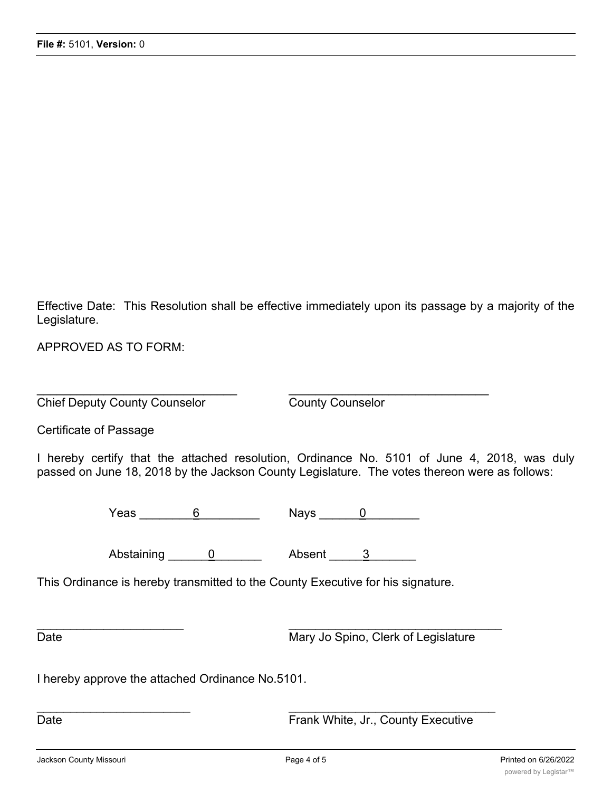Effective Date: This Resolution shall be effective immediately upon its passage by a majority of the Legislature.

APPROVED AS TO FORM:

 $\overline{\phantom{a}}$  , and the contribution of the contribution of the contribution of the contribution of the contribution of the contribution of the contribution of the contribution of the contribution of the contribution of the **Chief Deputy County Counselor** County Counselor

Certificate of Passage

I hereby certify that the attached resolution, Ordinance No. 5101 of June 4, 2018, was duly passed on June 18, 2018 by the Jackson County Legislature. The votes thereon were as follows:

Yeas \_\_\_\_\_\_\_\_6\_\_\_\_\_\_\_\_\_ Nays \_\_\_\_\_\_0\_\_\_\_\_\_\_\_

Abstaining 0 between a Absent 2

 $\overline{\phantom{a}}$  ,  $\overline{\phantom{a}}$  ,  $\overline{\phantom{a}}$  ,  $\overline{\phantom{a}}$  ,  $\overline{\phantom{a}}$  ,  $\overline{\phantom{a}}$  ,  $\overline{\phantom{a}}$  ,  $\overline{\phantom{a}}$  ,  $\overline{\phantom{a}}$  ,  $\overline{\phantom{a}}$  ,  $\overline{\phantom{a}}$  ,  $\overline{\phantom{a}}$  ,  $\overline{\phantom{a}}$  ,  $\overline{\phantom{a}}$  ,  $\overline{\phantom{a}}$  ,  $\overline{\phantom{a}}$ 

 $\frac{1}{2}$  ,  $\frac{1}{2}$  ,  $\frac{1}{2}$  ,  $\frac{1}{2}$  ,  $\frac{1}{2}$  ,  $\frac{1}{2}$  ,  $\frac{1}{2}$  ,  $\frac{1}{2}$  ,  $\frac{1}{2}$  ,  $\frac{1}{2}$  ,  $\frac{1}{2}$  ,  $\frac{1}{2}$  ,  $\frac{1}{2}$  ,  $\frac{1}{2}$  ,  $\frac{1}{2}$  ,  $\frac{1}{2}$  ,  $\frac{1}{2}$  ,  $\frac{1}{2}$  ,  $\frac{1$ 

This Ordinance is hereby transmitted to the County Executive for his signature.

Date Mary Jo Spino, Clerk of Legislature

I hereby approve the attached Ordinance No.5101.

Date **Date Executive CONSISTENT CONSISTENT Frank White, Jr., County Executive**